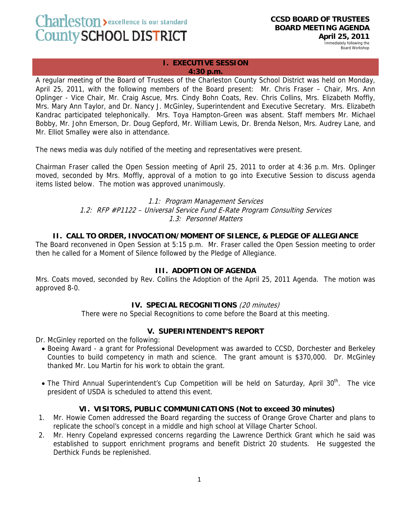Charleston > excellence is our standard County SCHOOL DISTRICT

**CCSD BOARD OF TRUSTEES BOARD MEETING AGENDA April 25, 2011** 

Immediately following the Board Workshop

## **I. EXECUTIVE SESSION 4:30 p.m.**

A regular meeting of the Board of Trustees of the Charleston County School District was held on Monday, April 25, 2011, with the following members of the Board present: Mr. Chris Fraser – Chair, Mrs. Ann Oplinger - Vice Chair, Mr. Craig Ascue, Mrs. Cindy Bohn Coats, Rev. Chris Collins, Mrs. Elizabeth Moffly, Mrs. Mary Ann Taylor, and Dr. Nancy J. McGinley, Superintendent and Executive Secretary. Mrs. Elizabeth Kandrac participated telephonically. Mrs. Toya Hampton-Green was absent. Staff members Mr. Michael Bobby, Mr. John Emerson, Dr. Doug Gepford, Mr. William Lewis, Dr. Brenda Nelson, Mrs. Audrey Lane, and Mr. Elliot Smalley were also in attendance.

The news media was duly notified of the meeting and representatives were present.

Chairman Fraser called the Open Session meeting of April 25, 2011 to order at 4:36 p.m. Mrs. Oplinger moved, seconded by Mrs. Moffly, approval of a motion to go into Executive Session to discuss agenda items listed below. The motion was approved unanimously.

> 1.1: Program Management Services 1.2: RFP #P1122 – Universal Service Fund E-Rate Program Consulting Services 1.3: Personnel Matters

# **II. CALL TO ORDER, INVOCATION/MOMENT OF SILENCE, & PLEDGE OF ALLEGIANCE**

The Board reconvened in Open Session at 5:15 p.m. Mr. Fraser called the Open Session meeting to order then he called for a Moment of Silence followed by the Pledge of Allegiance.

### **III. ADOPTION OF AGENDA**

Mrs. Coats moved, seconded by Rev. Collins the Adoption of the April 25, 2011 Agenda. The motion was approved 8-0.

### **IV. SPECIAL RECOGNITIONS** (20 minutes)

There were no Special Recognitions to come before the Board at this meeting.

### **V. SUPERINTENDENT'S REPORT**

Dr. McGinley reported on the following:

- Boeing Award a grant for Professional Development was awarded to CCSD, Dorchester and Berkeley Counties to build competency in math and science. The grant amount is \$370,000. Dr. McGinley thanked Mr. Lou Martin for his work to obtain the grant.
- The Third Annual Superintendent's Cup Competition will be held on Saturday, April 30<sup>th</sup>. The vice president of USDA is scheduled to attend this event.

### **VI. VISITORS, PUBLIC COMMUNICATIONS (Not to exceed 30 minutes)**

- 1. Mr. Howie Comen addressed the Board regarding the success of Orange Grove Charter and plans to replicate the school's concept in a middle and high school at Village Charter School.
- 2. Mr. Henry Copeland expressed concerns regarding the Lawrence Derthick Grant which he said was established to support enrichment programs and benefit District 20 students. He suggested the Derthick Funds be replenished.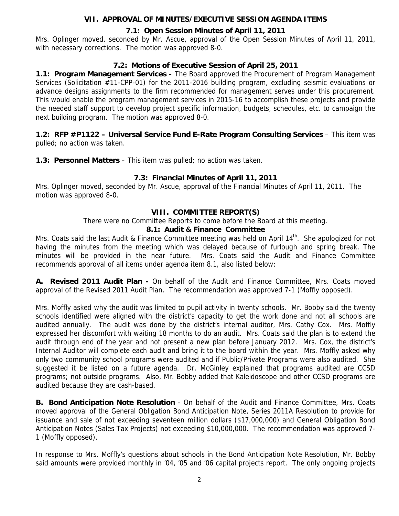# **VII. APPROVAL OF MINUTES/EXECUTIVE SESSION AGENDA ITEMS**

# **7.1: Open Session Minutes of April 11, 2011**

Mrs. Oplinger moved, seconded by Mr. Ascue, approval of the Open Session Minutes of April 11, 2011, with necessary corrections. The motion was approved 8-0.

# **7.2: Motions of Executive Session of April 25, 2011**

**1.1: Program Management Services** – The Board approved the Procurement of Program Management Services (Solicitation #11-CPP-01) for the 2011-2016 building program, excluding seismic evaluations or advance designs assignments to the firm recommended for management serves under this procurement. This would enable the program management services in 2015-16 to accomplish these projects and provide the needed staff support to develop project specific information, budgets, schedules, etc. to campaign the next building program. The motion was approved 8-0.

**1.2: RFP #P1122 – Universal Service Fund E-Rate Program Consulting Services** – This item was pulled; no action was taken.

**1.3: Personnel Matters** – This item was pulled; no action was taken.

# **7.3: Financial Minutes of April 11, 2011**

Mrs. Oplinger moved, seconded by Mr. Ascue, approval of the Financial Minutes of April 11, 2011. The motion was approved 8-0.

### **VIII. COMMITTEE REPORT(S)**

There were no Committee Reports to come before the Board at this meeting.

### **8.1: Audit & Finance Committee**

Mrs. Coats said the last Audit & Finance Committee meeting was held on April 14<sup>th</sup>. She apologized for not having the minutes from the meeting which was delayed because of furlough and spring break. The minutes will be provided in the near future. Mrs. Coats said the Audit and Finance Committee recommends approval of all items under agenda item 8.1, also listed below:

**A. Revised 2011 Audit Plan -** On behalf of the Audit and Finance Committee, Mrs. Coats moved approval of the Revised 2011 Audit Plan. The recommendation was approved 7-1 (Moffly opposed).

Mrs. Moffly asked why the audit was limited to pupil activity in twenty schools. Mr. Bobby said the twenty schools identified were aligned with the district's capacity to get the work done and not all schools are audited annually. The audit was done by the district's internal auditor, Mrs. Cathy Cox. Mrs. Moffly expressed her discomfort with waiting 18 months to do an audit. Mrs. Coats said the plan is to extend the audit through end of the year and not present a new plan before January 2012. Mrs. Cox, the district's Internal Auditor will complete each audit and bring it to the board within the year. Mrs. Moffly asked why only two community school programs were audited and if Public/Private Programs were also audited. She suggested it be listed on a future agenda. Dr. McGinley explained that programs audited are CCSD programs; not outside programs. Also, Mr. Bobby added that Kaleidoscope and other CCSD programs are audited because they are cash-based.

**B. Bond Anticipation Note Resolution** - On behalf of the Audit and Finance Committee, Mrs. Coats moved approval of the General Obligation Bond Anticipation Note, Series 2011A Resolution to provide for issuance and sale of not exceeding seventeen million dollars (\$17,000,000) and General Obligation Bond Anticipation Notes (Sales Tax Projects) not exceeding \$10,000,000. The recommendation was approved 7- 1 (Moffly opposed).

In response to Mrs. Moffly's questions about schools in the Bond Anticipation Note Resolution, Mr. Bobby said amounts were provided monthly in '04, '05 and '06 capital projects report. The only ongoing projects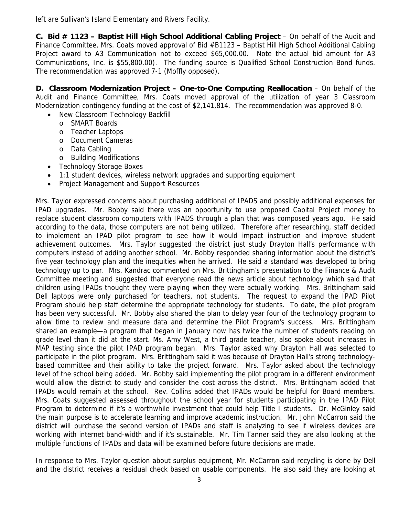left are Sullivan's Island Elementary and Rivers Facility.

**C. Bid # 1123 – Baptist Hill High School Additional Cabling Project** – On behalf of the Audit and Finance Committee, Mrs. Coats moved approval of Bid #B1123 – Baptist Hill High School Additional Cabling Project award to A3 Communication not to exceed \$65,000.00. Note the actual bid amount for A3 Communications, Inc. is \$55,800.00). The funding source is Qualified School Construction Bond funds. The recommendation was approved 7-1 (Moffly opposed).

**D. Classroom Modernization Project – One-to-One Computing Reallocation** – On behalf of the Audit and Finance Committee, Mrs. Coats moved approval of the utilization of year 3 Classroom Modernization contingency funding at the cost of \$2,141,814. The recommendation was approved 8-0.

- New Classroom Technology Backfill
	- o SMART Boards
	- o Teacher Laptops
	- o Document Cameras
	- o Data Cabling
	- o Building Modifications
- Technology Storage Boxes
- 1:1 student devices, wireless network upgrades and supporting equipment
- Project Management and Support Resources

Mrs. Taylor expressed concerns about purchasing additional of IPADS and possibly additional expenses for IPAD upgrades. Mr. Bobby said there was an opportunity to use proposed Capital Project money to replace student classroom computers with IPADS through a plan that was composed years ago. He said according to the data, those computers are not being utilized. Therefore after researching, staff decided to implement an IPAD pilot program to see how it would impact instruction and improve student achievement outcomes. Mrs. Taylor suggested the district just study Drayton Hall's performance with computers instead of adding another school. Mr. Bobby responded sharing information about the district's five year technology plan and the inequities when he arrived. He said a standard was developed to bring technology up to par. Mrs. Kandrac commented on Mrs. Brittingham's presentation to the Finance & Audit Committee meeting and suggested that everyone read the news article about technology which said that children using IPADs thought they were playing when they were actually working. Mrs. Brittingham said Dell laptops were only purchased for teachers, not students. The request to expand the IPAD Pilot Program should help staff determine the appropriate technology for students. To date, the pilot program has been very successful. Mr. Bobby also shared the plan to delay year four of the technology program to allow time to review and measure data and determine the Pilot Program's success. Mrs. Brittingham shared an example—a program that began in January now has twice the number of students reading on grade level than it did at the start. Ms. Amy West, a third grade teacher, also spoke about increases in MAP testing since the pilot IPAD program began. Mrs. Taylor asked why Drayton Hall was selected to participate in the pilot program. Mrs. Brittingham said it was because of Drayton Hall's strong technologybased committee and their ability to take the project forward. Mrs. Taylor asked about the technology level of the school being added. Mr. Bobby said implementing the pilot program in a different environment would allow the district to study and consider the cost across the district. Mrs. Brittingham added that IPADs would remain at the school. Rev. Collins added that IPADs would be helpful for Board members. Mrs. Coats suggested assessed throughout the school year for students participating in the IPAD Pilot Program to determine if it's a worthwhile investment that could help Title I students. Dr. McGinley said the main purpose is to accelerate learning and improve academic instruction. Mr. John McCarron said the district will purchase the second version of IPADs and staff is analyzing to see if wireless devices are working with internet band-width and if it's sustainable. Mr. Tim Tanner said they are also looking at the multiple functions of IPADs and data will be examined before future decisions are made.

In response to Mrs. Taylor question about surplus equipment, Mr. McCarron said recycling is done by Dell and the district receives a residual check based on usable components. He also said they are looking at